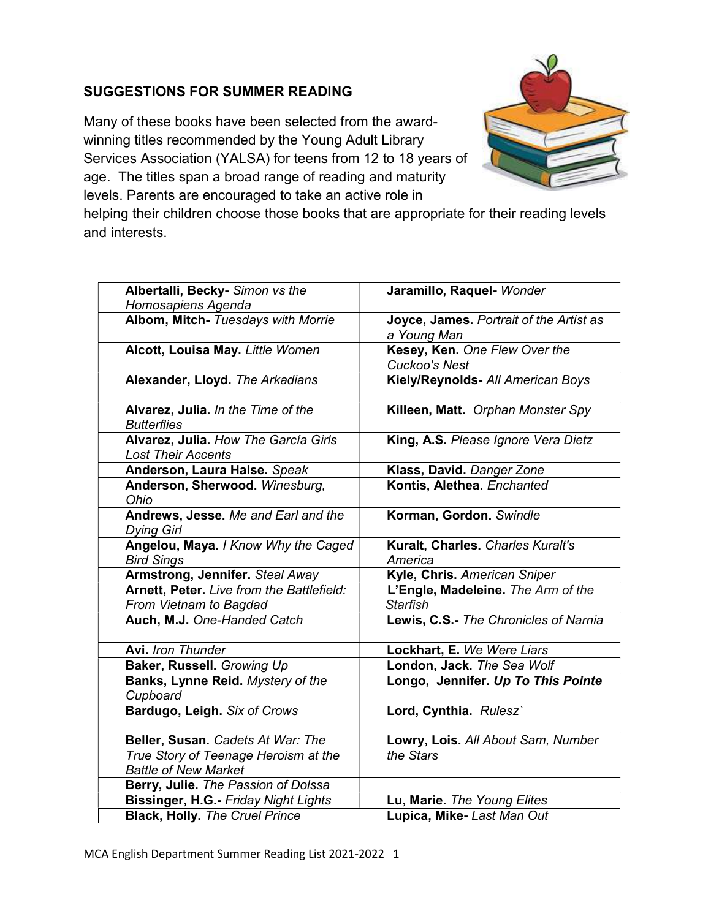## SUGGESTIONS FOR SUMMER READING

Many of these books have been selected from the awardwinning titles recommended by the Young Adult Library Services Association (YALSA) for teens from 12 to 18 years of age. The titles span a broad range of reading and maturity levels. Parents are encouraged to take an active role in



helping their children choose those books that are appropriate for their reading levels and interests.

| Albertalli, Becky- Simon vs the           | Jaramillo, Raquel- Wonder               |
|-------------------------------------------|-----------------------------------------|
| Homosapiens Agenda                        |                                         |
| Albom, Mitch- Tuesdays with Morrie        | Joyce, James. Portrait of the Artist as |
|                                           | a Young Man                             |
| Alcott, Louisa May. Little Women          | Kesey, Ken. One Flew Over the           |
|                                           | <b>Cuckoo's Nest</b>                    |
| Alexander, Lloyd. The Arkadians           | Kiely/Reynolds- All American Boys       |
|                                           |                                         |
|                                           |                                         |
| Alvarez, Julia. In the Time of the        | Killeen, Matt. Orphan Monster Spy       |
| <b>Butterflies</b>                        |                                         |
| Alvarez, Julia. How The García Girls      | King, A.S. Please Ignore Vera Dietz     |
| <b>Lost Their Accents</b>                 |                                         |
| Anderson, Laura Halse. Speak              | Klass, David. Danger Zone               |
| Anderson, Sherwood. Winesburg,            | Kontis, Alethea. Enchanted              |
| Ohio                                      |                                         |
| Andrews, Jesse. Me and Earl and the       | Korman, Gordon. Swindle                 |
| <b>Dying Girl</b>                         |                                         |
| Angelou, Maya. I Know Why the Caged       | Kuralt, Charles. Charles Kuralt's       |
|                                           | America                                 |
| <b>Bird Sings</b>                         |                                         |
| Armstrong, Jennifer. Steal Away           | Kyle, Chris. American Sniper            |
| Arnett, Peter. Live from the Battlefield: | L'Engle, Madeleine. The Arm of the      |
| From Vietnam to Bagdad                    | <b>Starfish</b>                         |
| Auch, M.J. One-Handed Catch               | Lewis, C.S.- The Chronicles of Narnia   |
|                                           |                                         |
| <b>Avi.</b> Iron Thunder                  | Lockhart, E. We Were Liars              |
| Baker, Russell. Growing Up                | London, Jack. The Sea Wolf              |
| Banks, Lynne Reid. Mystery of the         | Longo, Jennifer. Up To This Pointe      |
| Cupboard                                  |                                         |
| Bardugo, Leigh. Six of Crows              | Lord, Cynthia. Rulesz`                  |
|                                           |                                         |
| Beller, Susan. Cadets At War: The         | Lowry, Lois. All About Sam, Number      |
|                                           | the Stars                               |
| True Story of Teenage Heroism at the      |                                         |
| <b>Battle of New Market</b>               |                                         |
| Berry, Julie. The Passion of Dolssa       |                                         |
| Bissinger, H.G.- Friday Night Lights      | Lu, Marie. The Young Elites             |
| <b>Black, Holly. The Cruel Prince</b>     | Lupica, Mike-Last Man Out               |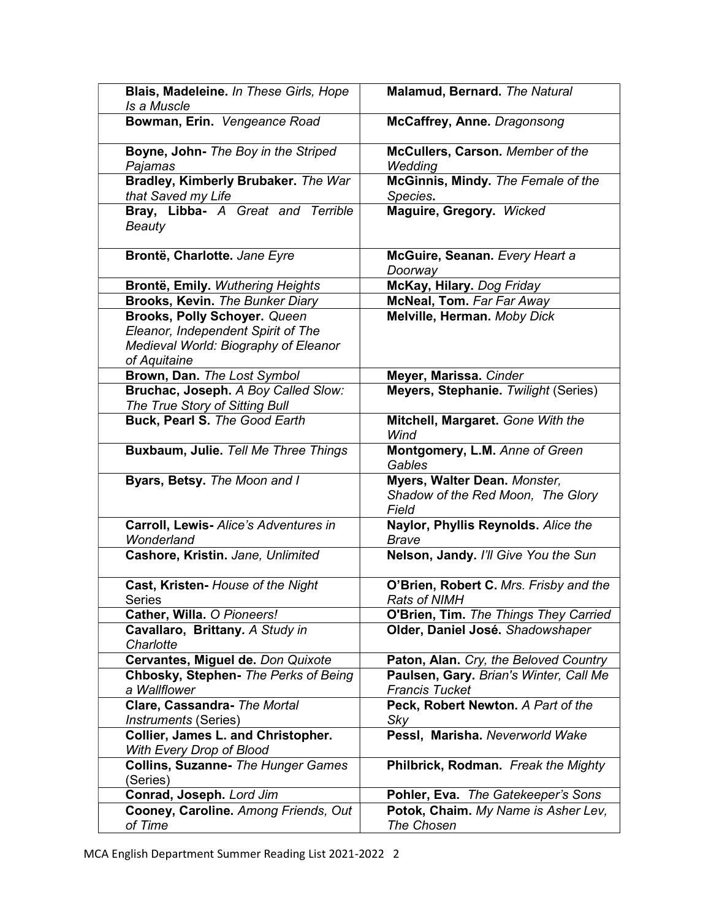| Blais, Madeleine. In These Girls, Hope<br>Is a Muscle                                                                      | Malamud, Bernard. The Natural                                              |
|----------------------------------------------------------------------------------------------------------------------------|----------------------------------------------------------------------------|
| Bowman, Erin. Vengeance Road                                                                                               | McCaffrey, Anne. Dragonsong                                                |
| Boyne, John- The Boy in the Striped<br>Pajamas                                                                             | McCullers, Carson. Member of the<br>Wedding                                |
| Bradley, Kimberly Brubaker. The War<br>that Saved my Life                                                                  | McGinnis, Mindy. The Female of the<br>Species.                             |
| Bray, Libba- A Great and Terrible<br><b>Beauty</b>                                                                         | Maguire, Gregory. Wicked                                                   |
| Brontë, Charlotte. Jane Eyre                                                                                               | McGuire, Seanan. Every Heart a<br>Doorway                                  |
| Brontë, Emily. Wuthering Heights                                                                                           | McKay, Hilary. Dog Friday                                                  |
| Brooks, Kevin. The Bunker Diary                                                                                            | <b>McNeal, Tom. Far Far Away</b>                                           |
| Brooks, Polly Schoyer. Queen<br>Eleanor, Independent Spirit of The<br>Medieval World: Biography of Eleanor<br>of Aquitaine | Melville, Herman. Moby Dick                                                |
| Brown, Dan. The Lost Symbol                                                                                                | Meyer, Marissa. Cinder                                                     |
| Bruchac, Joseph. A Boy Called Slow:<br>The True Story of Sitting Bull                                                      | Meyers, Stephanie. Twilight (Series)                                       |
| Buck, Pearl S. The Good Earth                                                                                              | Mitchell, Margaret. Gone With the<br>Wind                                  |
| Buxbaum, Julie. Tell Me Three Things                                                                                       | Montgomery, L.M. Anne of Green<br>Gables                                   |
| Byars, Betsy. The Moon and I                                                                                               | Myers, Walter Dean. Monster,<br>Shadow of the Red Moon, The Glory<br>Field |
| Carroll, Lewis- Alice's Adventures in<br>Wonderland                                                                        | Naylor, Phyllis Reynolds. Alice the<br><b>Brave</b>                        |
| Cashore, Kristin. Jane, Unlimited                                                                                          | Nelson, Jandy. I'll Give You the Sun                                       |
| Cast, Kristen- House of the Night<br>Series                                                                                | O'Brien, Robert C. Mrs. Frisby and the<br>Rats of NIMH                     |
| Cather, Willa. O Pioneers!                                                                                                 | O'Brien, Tim. The Things They Carried                                      |
| Cavallaro, Brittany. A Study in<br>Charlotte                                                                               | Older, Daniel José. Shadowshaper                                           |
| Cervantes, Miguel de. Don Quixote                                                                                          | Paton, Alan. Cry, the Beloved Country                                      |
| Chbosky, Stephen- The Perks of Being<br>a Wallflower                                                                       | Paulsen, Gary. Brian's Winter, Call Me<br><b>Francis Tucket</b>            |
| Clare, Cassandra- The Mortal<br>Instruments (Series)                                                                       | Peck, Robert Newton. A Part of the<br>Sky                                  |
| Collier, James L. and Christopher.<br>With Every Drop of Blood                                                             | Pessl, Marisha. Neverworld Wake                                            |
| <b>Collins, Suzanne- The Hunger Games</b><br>(Series)                                                                      | Philbrick, Rodman. Freak the Mighty                                        |
| Conrad, Joseph. Lord Jim                                                                                                   | Pohler, Eva. The Gatekeeper's Sons                                         |
| Cooney, Caroline. Among Friends, Out<br>of Time                                                                            | Potok, Chaim. My Name is Asher Lev,<br>The Chosen                          |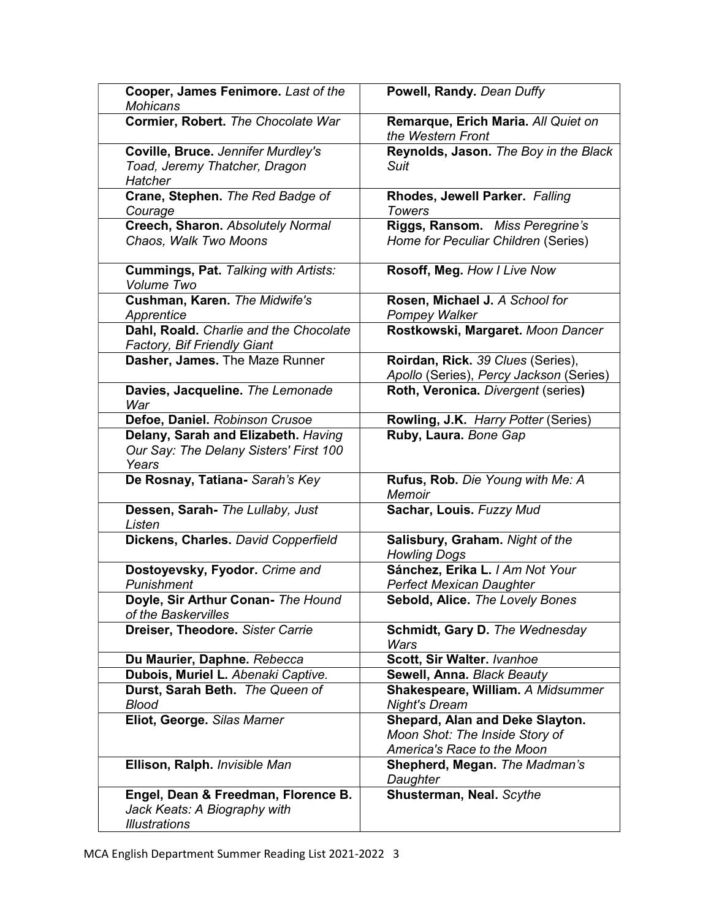| Cooper, James Fenimore. Last of the<br><b>Mohicans</b>                                      | Powell, Randy. Dean Duffy                                                                       |
|---------------------------------------------------------------------------------------------|-------------------------------------------------------------------------------------------------|
| Cormier, Robert. The Chocolate War                                                          | Remarque, Erich Maria. All Quiet on<br>the Western Front                                        |
| Coville, Bruce. Jennifer Murdley's<br>Toad, Jeremy Thatcher, Dragon<br><b>Hatcher</b>       | Reynolds, Jason. The Boy in the Black<br>Suit                                                   |
| Crane, Stephen. The Red Badge of<br>Courage                                                 | Rhodes, Jewell Parker. Falling<br><b>Towers</b>                                                 |
| Creech, Sharon. Absolutely Normal<br>Chaos, Walk Two Moons                                  | Riggs, Ransom. Miss Peregrine's<br>Home for Peculiar Children (Series)                          |
| Cummings, Pat. Talking with Artists:<br>Volume Two                                          | Rosoff, Meg. How I Live Now                                                                     |
| Cushman, Karen. The Midwife's<br>Apprentice                                                 | Rosen, Michael J. A School for<br>Pompey Walker                                                 |
| Dahl, Roald. Charlie and the Chocolate<br><b>Factory, Bif Friendly Giant</b>                | Rostkowski, Margaret. Moon Dancer                                                               |
| Dasher, James. The Maze Runner                                                              | Roirdan, Rick. 39 Clues (Series),<br>Apollo (Series), Percy Jackson (Series)                    |
| Davies, Jacqueline. The Lemonade<br>War                                                     | Roth, Veronica. Divergent (series)                                                              |
| Defoe, Daniel. Robinson Crusoe                                                              | Rowling, J.K. Harry Potter (Series)                                                             |
| Delany, Sarah and Elizabeth. Having<br>Our Say: The Delany Sisters' First 100<br>Years      | Ruby, Laura. Bone Gap                                                                           |
| De Rosnay, Tatiana- Sarah's Key                                                             | Rufus, Rob. Die Young with Me: A<br><b>Memoir</b>                                               |
| Dessen, Sarah- The Lullaby, Just<br>Listen                                                  | Sachar, Louis. Fuzzy Mud                                                                        |
| Dickens, Charles. David Copperfield                                                         | Salisbury, Graham. Night of the<br><b>Howling Dogs</b>                                          |
| Dostoyevsky, Fyodor. Crime and<br>Punishment                                                | Sánchez, Erika L. / Am Not Your<br><b>Perfect Mexican Daughter</b>                              |
| Doyle, Sir Arthur Conan- The Hound<br>of the Baskervilles                                   | Sebold, Alice. The Lovely Bones                                                                 |
| Dreiser, Theodore. Sister Carrie                                                            | Schmidt, Gary D. The Wednesday<br>Wars                                                          |
| Du Maurier, Daphne. Rebecca                                                                 | Scott, Sir Walter. Ivanhoe                                                                      |
| Dubois, Muriel L. Abenaki Captive.                                                          | Sewell, Anna. Black Beauty                                                                      |
| Durst, Sarah Beth. The Queen of<br><b>Blood</b>                                             | Shakespeare, William. A Midsummer<br><b>Night's Dream</b>                                       |
| Eliot, George. Silas Marner                                                                 | Shepard, Alan and Deke Slayton.<br>Moon Shot: The Inside Story of<br>America's Race to the Moon |
| Ellison, Ralph. Invisible Man                                                               | Shepherd, Megan. The Madman's<br>Daughter                                                       |
| Engel, Dean & Freedman, Florence B.<br>Jack Keats: A Biography with<br><b>Illustrations</b> | Shusterman, Neal. Scythe                                                                        |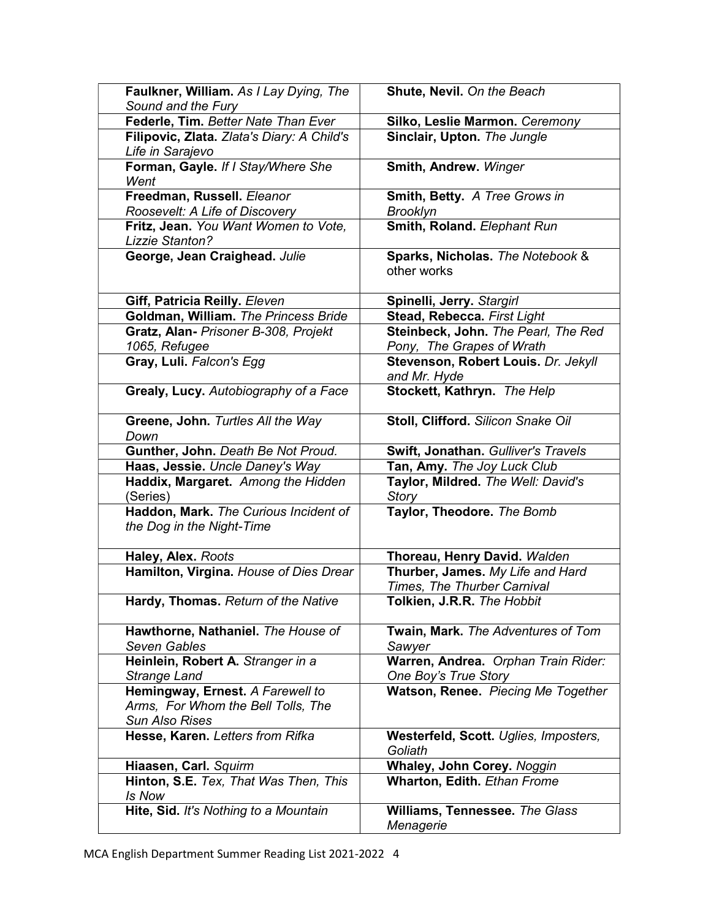| Faulkner, William. As I Lay Dying, The                             | Shute, Nevil. On the Beach                          |
|--------------------------------------------------------------------|-----------------------------------------------------|
| Sound and the Fury                                                 |                                                     |
| Federle, Tim. Better Nate Than Ever                                | Silko, Leslie Marmon. Ceremony                      |
| Filipovic, Zlata. Zlata's Diary: A Child's<br>Life in Sarajevo     | Sinclair, Upton. The Jungle                         |
| Forman, Gayle. If I Stay/Where She                                 | Smith, Andrew. Winger                               |
| Went                                                               |                                                     |
| Freedman, Russell. Eleanor                                         | Smith, Betty. A Tree Grows in                       |
| Roosevelt: A Life of Discovery                                     | <b>Brooklyn</b>                                     |
| Fritz, Jean. You Want Women to Vote,<br>Lizzie Stanton?            | Smith, Roland. Elephant Run                         |
| George, Jean Craighead. Julie                                      | Sparks, Nicholas. The Notebook &<br>other works     |
| Giff, Patricia Reilly. Eleven                                      | Spinelli, Jerry. Stargirl                           |
| Goldman, William. The Princess Bride                               | Stead, Rebecca. First Light                         |
| Gratz, Alan- Prisoner B-308, Projekt                               | Steinbeck, John. The Pearl, The Red                 |
| 1065, Refugee                                                      | Pony, The Grapes of Wrath                           |
| Gray, Luli. Falcon's Egg                                           | Stevenson, Robert Louis. Dr. Jekyll<br>and Mr. Hyde |
| Grealy, Lucy. Autobiography of a Face                              | Stockett, Kathryn. The Help                         |
| Greene, John. Turtles All the Way                                  | Stoll, Clifford. Silicon Snake Oil                  |
| Down                                                               |                                                     |
| Gunther, John. Death Be Not Proud.                                 | Swift, Jonathan. Gulliver's Travels                 |
| Haas, Jessie. Uncle Daney's Way                                    | Tan, Amy. The Joy Luck Club                         |
| Haddix, Margaret. Among the Hidden                                 | Taylor, Mildred. The Well: David's                  |
| (Series)                                                           | Story                                               |
| Haddon, Mark. The Curious Incident of<br>the Dog in the Night-Time | Taylor, Theodore. The Bomb                          |
| Haley, Alex. Roots                                                 | Thoreau, Henry David. Walden                        |
| Hamilton, Virgina. House of Dies Drear                             | Thurber, James. My Life and Hard                    |
|                                                                    | Times, The Thurber Carnival                         |
| Hardy, Thomas. Return of the Native                                | Tolkien, J.R.R. The Hobbit                          |
| Hawthorne, Nathaniel. The House of<br><b>Seven Gables</b>          | Twain, Mark. The Adventures of Tom<br>Sawyer        |
| Heinlein, Robert A. Stranger in a                                  | Warren, Andrea. Orphan Train Rider:                 |
| <b>Strange Land</b>                                                | One Boy's True Story                                |
| Hemingway, Ernest. A Farewell to                                   | Watson, Renee. Piecing Me Together                  |
| Arms, For Whom the Bell Tolls, The                                 |                                                     |
| Sun Also Rises                                                     |                                                     |
| Hesse, Karen. Letters from Rifka                                   | Westerfeld, Scott. Uglies, Imposters,<br>Goliath    |
| Hiaasen, Carl. Squirm                                              | Whaley, John Corey. Noggin                          |
| Hinton, S.E. Tex, That Was Then, This<br>Is Now                    | <b>Wharton, Edith. Ethan Frome</b>                  |
| Hite, Sid. It's Nothing to a Mountain                              | Williams, Tennessee. The Glass<br>Menagerie         |